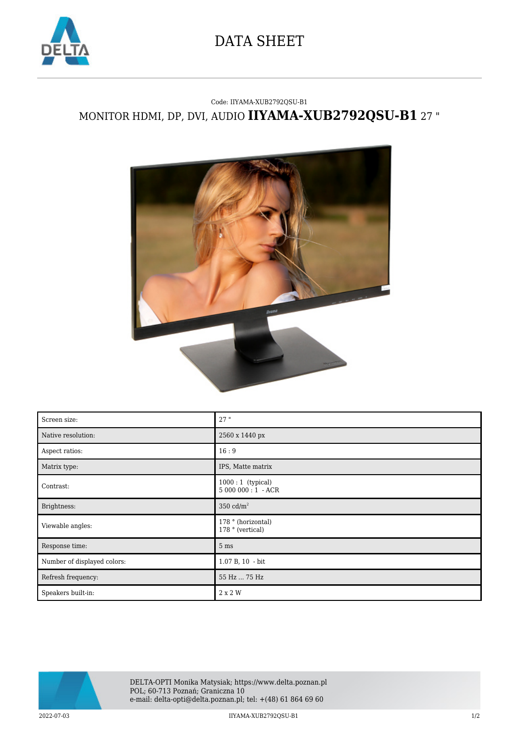

## DATA SHEET

## Code: IIYAMA-XUB2792QSU-B1 MONITOR HDMI, DP, DVI, AUDIO **IIYAMA-XUB2792QSU-B1** 27 "



| Screen size:                | 27"                                     |
|-----------------------------|-----------------------------------------|
| Native resolution:          | 2560 x 1440 px                          |
| Aspect ratios:              | 16:9                                    |
| Matrix type:                | IPS, Matte matrix                       |
| Contrast:                   | $1000:1$ (typical)<br>$5000000:1 - ACR$ |
| Brightness:                 | 350 $cd/m2$                             |
| Viewable angles:            | 178 ° (horizontal)<br>178 ° (vertical)  |
| Response time:              | 5 <sub>ms</sub>                         |
| Number of displayed colors: | 1.07 B, 10 - bit                        |
| Refresh frequency:          | 55 Hz  75 Hz                            |
| Speakers built-in:          | 2 x 2 W                                 |